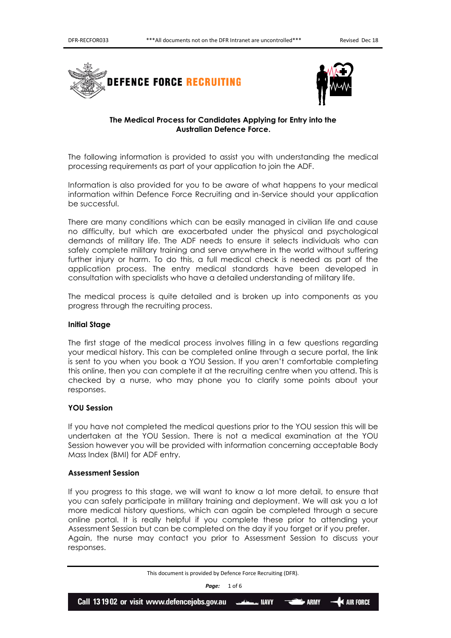



# **The Medical Process for Candidates Applying for Entry into the Australian Defence Force.**

The following information is provided to assist you with understanding the medical processing requirements as part of your application to join the ADF.

Information is also provided for you to be aware of what happens to your medical information within Defence Force Recruiting and in-Service should your application be successful.

There are many conditions which can be easily managed in civilian life and cause no difficulty, but which are exacerbated under the physical and psychological demands of military life. The ADF needs to ensure it selects individuals who can safely complete military training and serve anywhere in the world without suffering further injury or harm. To do this, a full medical check is needed as part of the application process. The entry medical standards have been developed in consultation with specialists who have a detailed understanding of military life.

The medical process is quite detailed and is broken up into components as you progress through the recruiting process.

## **Initial Stage**

The first stage of the medical process involves filling in a few questions regarding your medical history. This can be completed online through a secure portal, the link is sent to you when you book a YOU Session. If you aren't comfortable completing this online, then you can complete it at the recruiting centre when you attend. This is checked by a nurse, who may phone you to clarify some points about your responses.

## **YOU Session**

If you have not completed the medical questions prior to the YOU session this will be undertaken at the YOU Session. There is not a medical examination at the YOU Session however you will be provided with information concerning acceptable Body Mass Index (BMI) for ADF entry.

## **Assessment Session**

If you progress to this stage, we will want to know a lot more detail, to ensure that you can safely participate in military training and deployment. We will ask you a lot more medical history questions, which can again be completed through a secure online portal. It is really helpful if you complete these prior to attending your Assessment Session but can be completed on the day if you forget or if you prefer. Again, the nurse may contact you prior to Assessment Session to discuss your responses.

*Page:* 1 of 6

This document is provided by Defence Force Recruiting (DFR).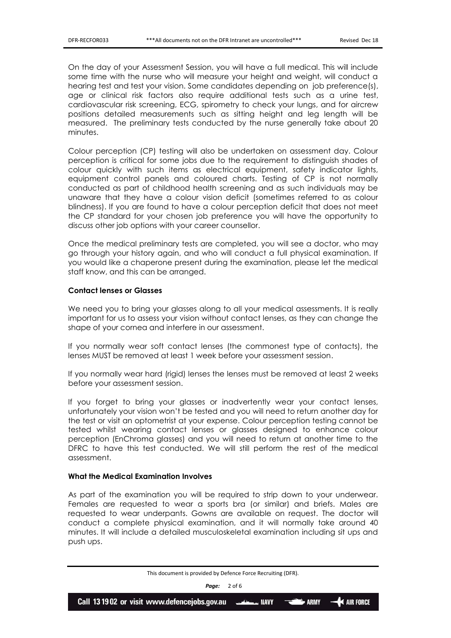On the day of your Assessment Session, you will have a full medical. This will include some time with the nurse who will measure your height and weight, will conduct a hearing test and test your vision. Some candidates depending on job preference(s), age or clinical risk factors also require additional tests such as a urine test, cardiovascular risk screening, ECG, spirometry to check your lungs, and for aircrew positions detailed measurements such as sitting height and leg length will be measured. The preliminary tests conducted by the nurse generally take about 20 minutes.

Colour perception (CP) testing will also be undertaken on assessment day. Colour perception is critical for some jobs due to the requirement to distinguish shades of colour quickly with such items as electrical equipment, safety indicator lights, equipment control panels and coloured charts. Testing of CP is not normally conducted as part of childhood health screening and as such individuals may be unaware that they have a colour vision deficit (sometimes referred to as colour blindness). If you are found to have a colour perception deficit that does not meet the CP standard for your chosen job preference you will have the opportunity to discuss other job options with your career counsellor.

Once the medical preliminary tests are completed, you will see a doctor, who may go through your history again, and who will conduct a full physical examination. If you would like a chaperone present during the examination, please let the medical staff know, and this can be arranged.

## **Contact lenses or Glasses**

We need you to bring your glasses along to all your medical assessments. It is really important for us to assess your vision without contact lenses, as they can change the shape of your cornea and interfere in our assessment.

If you normally wear soft contact lenses (the commonest type of contacts), the lenses MUST be removed at least 1 week before your assessment session.

If you normally wear hard (rigid) lenses the lenses must be removed at least 2 weeks before your assessment session.

If you forget to bring your glasses or inadvertently wear your contact lenses, unfortunately your vision won't be tested and you will need to return another day for the test or visit an optometrist at your expense. Colour perception testing cannot be tested whilst wearing contact lenses or glasses designed to enhance colour perception (EnChroma glasses) and you will need to return at another time to the DFRC to have this test conducted. We will still perform the rest of the medical assessment.

## **What the Medical Examination Involves**

As part of the examination you will be required to strip down to your underwear. Females are requested to wear a sports bra (or similar) and briefs. Males are requested to wear underpants. Gowns are available on request. The doctor will conduct a complete physical examination, and it will normally take around 40 minutes. It will include a detailed musculoskeletal examination including sit ups and push ups.

*Page:* 2 of 6

This document is provided by Defence Force Recruiting (DFR).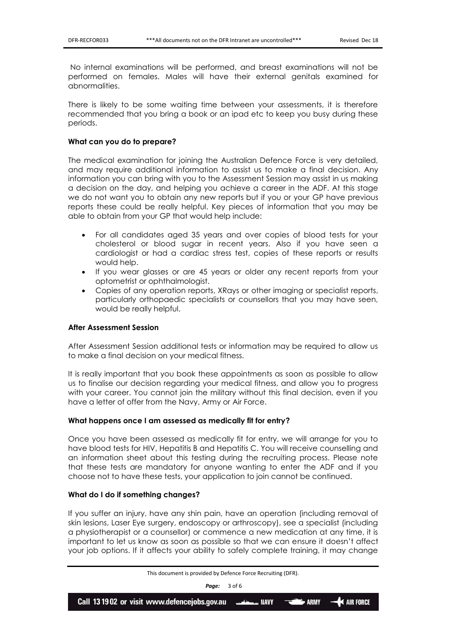No internal examinations will be performed, and breast examinations will not be performed on females. Males will have their external genitals examined for abnormalities.

There is likely to be some waiting time between your assessments, it is therefore recommended that you bring a book or an ipad etc to keep you busy during these periods.

## **What can you do to prepare?**

The medical examination for joining the Australian Defence Force is very detailed, and may require additional information to assist us to make a final decision. Any information you can bring with you to the Assessment Session may assist in us making a decision on the day, and helping you achieve a career in the ADF. At this stage we do not want you to obtain any new reports but if you or your GP have previous reports these could be really helpful. Key pieces of information that you may be able to obtain from your GP that would help include:

- For all candidates aged 35 years and over copies of blood tests for your cholesterol or blood sugar in recent years. Also if you have seen a cardiologist or had a cardiac stress test, copies of these reports or results would help.
- If you wear glasses or are 45 years or older any recent reports from your optometrist or ophthalmologist.
- Copies of any operation reports, XRays or other imaging or specialist reports, particularly orthopaedic specialists or counsellors that you may have seen, would be really helpful.

### **After Assessment Session**

After Assessment Session additional tests or information may be required to allow us to make a final decision on your medical fitness.

It is really important that you book these appointments as soon as possible to allow us to finalise our decision regarding your medical fitness, and allow you to progress with your career. You cannot join the military without this final decision, even if you have a letter of offer from the Navy, Army or Air Force.

#### **What happens once I am assessed as medically fit for entry?**

Once you have been assessed as medically fit for entry, we will arrange for you to have blood tests for HIV, Hepatitis B and Hepatitis C. You will receive counselling and an information sheet about this testing during the recruiting process. Please note that these tests are mandatory for anyone wanting to enter the ADF and if you choose not to have these tests, your application to join cannot be continued.

### **What do I do if something changes?**

If you suffer an injury, have any shin pain, have an operation (including removal of skin lesions, Laser Eye surgery, endoscopy or arthroscopy), see a specialist (including a physiotherapist or a counsellor) or commence a new medication at any time, it is important to let us know as soon as possible so that we can ensure it doesn't affect your job options. If it affects your ability to safely complete training, it may change

*Page:* 3 of 6

This document is provided by Defence Force Recruiting (DFR).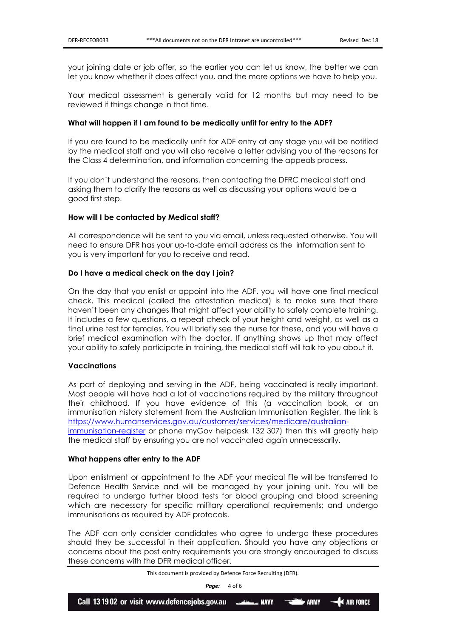your joining date or job offer, so the earlier you can let us know, the better we can let you know whether it does affect you, and the more options we have to help you.

Your medical assessment is generally valid for 12 months but may need to be reviewed if things change in that time.

## **What will happen if I am found to be medically unfit for entry to the ADF?**

If you are found to be medically unfit for ADF entry at any stage you will be notified by the medical staff and you will also receive a letter advising you of the reasons for the Class 4 determination, and information concerning the appeals process.

If you don't understand the reasons, then contacting the DFRC medical staff and asking them to clarify the reasons as well as discussing your options would be a good first step.

## **How will I be contacted by Medical staff?**

All correspondence will be sent to you via email, unless requested otherwise. You will need to ensure DFR has your up-to-date email address as the information sent to you is very important for you to receive and read.

## **Do I have a medical check on the day I join?**

On the day that you enlist or appoint into the ADF, you will have one final medical check. This medical (called the attestation medical) is to make sure that there haven't been any changes that might affect your ability to safely complete training. It includes a few questions, a repeat check of your height and weight, as well as a final urine test for females. You will briefly see the nurse for these, and you will have a brief medical examination with the doctor. If anything shows up that may affect your ability to safely participate in training, the medical staff will talk to you about it.

### **Vaccinations**

As part of deploying and serving in the ADF, being vaccinated is really important. Most people will have had a lot of vaccinations required by the military throughout their childhood. If you have evidence of this (a vaccination book, or an immunisation history statement from the Australian Immunisation Register, the link is [https://www.humanservices.gov.au/customer/services/medicare/australian](https://www.humanservices.gov.au/customer/services/medicare/australian-immunisation-register)[immunisation-register](https://www.humanservices.gov.au/customer/services/medicare/australian-immunisation-register) or phone myGov helpdesk 132 307) then this will greatly help

the medical staff by ensuring you are not vaccinated again unnecessarily.

### **What happens after entry to the ADF**

Upon enlistment or appointment to the ADF your medical file will be transferred to Defence Health Service and will be managed by your joining unit. You will be required to undergo further blood tests for blood grouping and blood screening which are necessary for specific military operational requirements; and undergo immunisations as required by ADF protocols.

The ADF can only consider candidates who agree to undergo these procedures should they be successful in their application. Should you have any objections or concerns about the post entry requirements you are strongly encouraged to discuss these concerns with the DFR medical officer.

This document is provided by Defence Force Recruiting (DFR).

*Page:* 4 of 6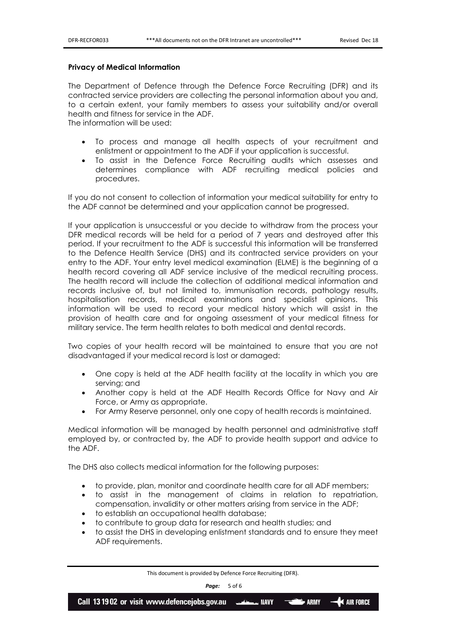### **Privacy of Medical Information**

The Department of Defence through the Defence Force Recruiting (DFR) and its contracted service providers are collecting the personal information about you and, to a certain extent, your family members to assess your suitability and/or overall health and fitness for service in the ADF.

The information will be used:

- To process and manage all health aspects of your recruitment and enlistment or appointment to the ADF if your application is successful.
- To assist in the Defence Force Recruiting audits which assesses and determines compliance with ADF recruiting medical policies and procedures.

If you do not consent to collection of information your medical suitability for entry to the ADF cannot be determined and your application cannot be progressed.

If your application is unsuccessful or you decide to withdraw from the process your DFR medical records will be held for a period of 7 years and destroyed after this period. If your recruitment to the ADF is successful this information will be transferred to the Defence Health Service (DHS) and its contracted service providers on your entry to the ADF. Your entry level medical examination (ELME) is the beginning of a health record covering all ADF service inclusive of the medical recruiting process. The health record will include the collection of additional medical information and records inclusive of, but not limited to, immunisation records, pathology results, hospitalisation records, medical examinations and specialist opinions. This information will be used to record your medical history which will assist in the provision of health care and for ongoing assessment of your medical fitness for military service. The term health relates to both medical and dental records.

Two copies of your health record will be maintained to ensure that you are not disadvantaged if your medical record is lost or damaged:

- One copy is held at the ADF health facility at the locality in which you are serving; and
- Another copy is held at the ADF Health Records Office for Navy and Air Force, or Army as appropriate.
- For Army Reserve personnel, only one copy of health records is maintained.

Medical information will be managed by health personnel and administrative staff employed by, or contracted by, the ADF to provide health support and advice to the ADF.

The DHS also collects medical information for the following purposes:

- to provide, plan, monitor and coordinate health care for all ADF members;
- to assist in the management of claims in relation to repatriation, compensation, invalidity or other matters arising from service in the ADF;
- to establish an occupational health database;
- to contribute to group data for research and health studies; and
- to assist the DHS in developing enlistment standards and to ensure they meet ADF requirements.

This document is provided by Defence Force Recruiting (DFR).

*Page:* 5 of 6